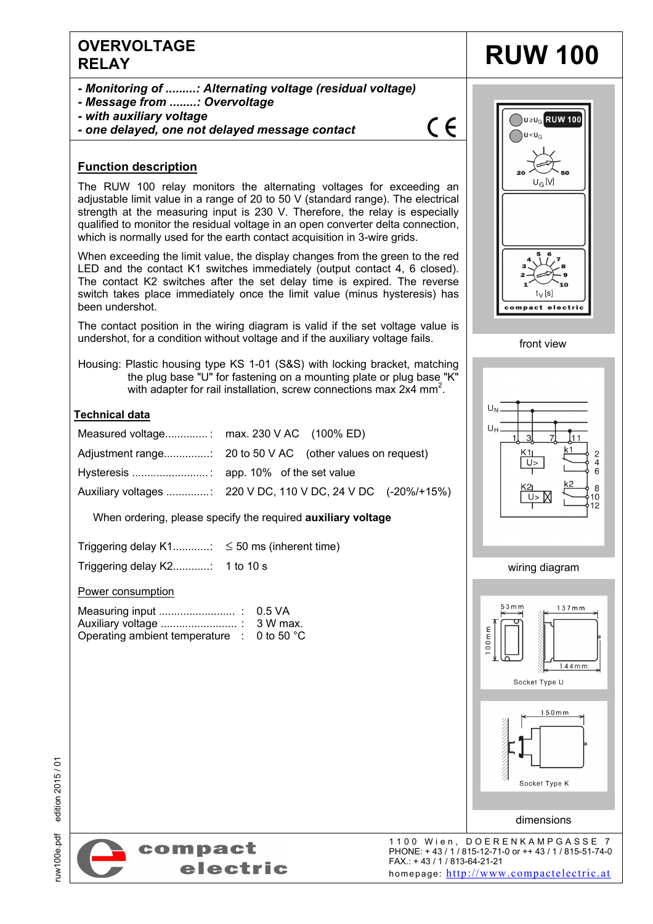# **OVERVOLTAGE**  ELAY **RUW 100**

- *Monitoring of .........: Alternating voltage (residual voltage)*
- *Message from ........: Overvoltage*
- *with auxiliary voltage*
- *one delayed, one not delayed message contact*

# $\epsilon$

### **Function description**

The RUW 100 relay monitors the alternating voltages for exceeding an adjustable limit value in a range of 20 to 50 V (standard range). The electrical strength at the measuring input is 230 V. Therefore, the relay is especially qualified to monitor the residual voltage in an open converter delta connection, which is normally used for the earth contact acquisition in 3-wire grids.

When exceeding the limit value, the display changes from the green to the red LED and the contact K1 switches immediately (output contact 4, 6 closed). The contact K2 switches after the set delay time is expired. The reverse switch takes place immediately once the limit value (minus hysteresis) has been undershot.

The contact position in the wiring diagram is valid if the set voltage value is undershot, for a condition without voltage and if the auxiliary voltage fails.

Housing: Plastic housing type KS 1-01 (S&S) with locking bracket, matching the plug base "U" for fastening on a mounting plate or plug base "K" with adapter for rail installation, screw connections max 2x4 mm<sup>2</sup>.

### **Technical data**

| Measured voltage: max. 230 V AC (100% ED) |
|-------------------------------------------|
|                                           |
|                                           |
|                                           |

When ordering, please specify the required **auxiliary voltage**

Triggering delay  $K1$ .............:  $\leq 50$  ms (inherent time)

Triggering delay K2............ : 1 to 10 s

Power consumption

| Operating ambient temperature $\therefore$ 0 to 50 °C |  |
|-------------------------------------------------------|--|









dimensions

Socket Type K



1100 Wien, DOERENKAMPGASSE 7 PHONE: + 43 / 1 / 815-12-71-0 or ++ 43 / 1 / 815-51-74-0 FAX.: + 43 / 1 / 813-64-21-21 homepage: http://www.compactelectric.at